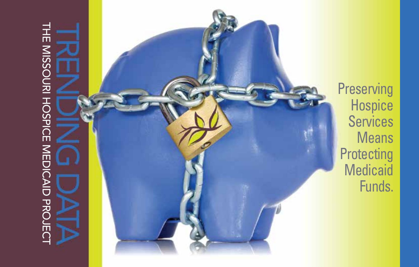# THE MISSOURI HOSPICE MEDICAID PROJECT The Missouri Hospice Medicaid ProjecT



**Preserving** Hospice **Services** Means **Protecting Medicaid** Funds.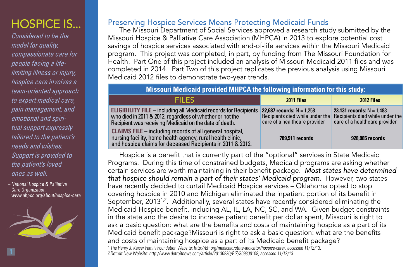# HOSPICE IS...

*Considered to be the model for quality, compassionate care for people facing a lifelimiting illness or injury, hospice care involves a team-oriented approach to expert medical care, pain management, and emotional and spiritual support expressly tailored to the patient's needs and wishes. Support is provided to the patient's loved ones as well.*

 – National Hospice & Palliative Care Organization. www.nhpco.org/about/hospice-care



#### Preserving Hospice Services Means Protecting Medicaid Funds

The Missouri Department of Social Services approved a research study submitted by the Missouri Hospice & Palliative Care Association (MHPCA) in 2013 to explore potential cost savings of hospice services associated with end-of-life services within the Missouri Medicaid program. This project was completed, in part, by funding from The Missouri Foundation for Health. Part One of this project included an analysis of Missouri Medicaid 2011 files and was completed in 2014. Part Two of this project replicates the previous analysis using Missouri Medicaid 2012 files to demonstrate two-year trends.

#### **Missouri Medicaid provided MHPCA the following information for this study:**

| <b>FILES</b>                                                                                                                                                                                   | 2011 Files                                                                                             | 2012 Files                                                                                             |
|------------------------------------------------------------------------------------------------------------------------------------------------------------------------------------------------|--------------------------------------------------------------------------------------------------------|--------------------------------------------------------------------------------------------------------|
| <b>ELIGIBILITY FILE</b> – including all Medicaid records for Recipients<br>who died in 2011 & 2012, regardless of whether or not the<br>Recipient was receiving Medicaid on the date of death. | <b>22,687 records:</b> $N = 1,258$<br>Recipients died while under the<br>care of a healthcare provider | <b>23,131 records:</b> $N = 1,483$<br>Recipients died while under the<br>care of a healthcare provider |
| <b>CLAIMS FILE</b> – including records of all general hospital,<br>nursing facility, home health agency, rural health clinic,<br>and hospice claims for deceased Recipients in 2011 & 2012.    | 789,511 records                                                                                        | 928,985 records                                                                                        |

Hospice is a benefit that is currently part of the "optional" services in State Medicaid Programs. During this time of constrained budgets, Medicaid programs are asking whether certain services are worth maintaining in their benefit package. *Most states have determined that hospice should remain a part of their states' Medicaid program.* However, two states have recently decided to curtail Medicaid Hospice services – Oklahoma opted to stop covering hospice in 2010 and Michigan eliminated the inpatient portion of its benefit in September,  $2013^{1.2}$ . Additionally, several states have recently considered eliminating the Medicaid Hospice benefit, including AL, IL, LA, NC, SC, and WA. Given budget constraints in the state and the desire to increase patient benefit per dollar spent, Missouri is right to ask a basic question: what are the benefits and costs of maintaining hospice as a part of its Medicaid benefit package?Missouri is right to ask a basic question: what are the benefits and costs of maintaining hospice as a part of its Medicaid benefit package? <sup>1</sup>The Henry J. Kaiser Family Foundation Website: http://kff.org/medicaid/state-indicator/hospice-care/, accessed 11/12/13. <sup>2</sup>Detroit New Website: http://www.detroitnews.com/article/20130930/BIZ/309300108, accessed 11/12/13.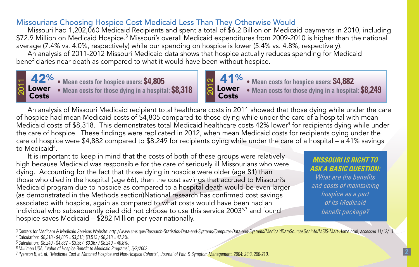### Missourians Choosing Hospice Cost Medicaid Less Than They Otherwise Would

Missouri had 1,202,060 Medicaid Recipients and spent a total of \$6.2 Billion on Medicaid payments in 2010, including  $\$$ 72.9 Million on Medicaid Hospice. $^3$  Missouri's overall Medicaid expenditures from 2009-2010 is higher than the national  $\overline{ }$ average (7.4% vs. 4.0%, respectively) while our spending on hospice is lower (5.4% vs. 4.8%, respectively).

An analysis of 2011-2012 Missouri Medicaid data shows that hospice actually reduces spending for Medicaid beneficiaries near death as compared to what it would have been without hospice.



 41% Lower Costs • Mean costs for hospice users: \$4,805<br>• Mean costs for those dying in a hospital: \$8,318

An analysis of Missouri Medicaid recipient total healthcare costs in 2011 showed that those dying while under the care of hospice had mean Medicaid costs of \$4,805 compared to those dying while under the care of a hospital with mean Medicaid costs of \$8,318. This demonstrates total Medicaid healthcare costs 42% lower<sup>4</sup> for recipients dying while under the care of hospice. These findings were replicated in 2012, when mean Medicaid costs for recipients dying under the care of hospice were \$4,882 compared to \$8,249 for recipients dying while under the care of a hospital – a 41% savings to Medicaid<sup>5</sup>.

It is important to keep in mind that the costs of both of these groups were relatively high because Medicaid was responsible for the care of seriously ill Missourians who were dying. Accounting for the fact that those dying in hospice were older (age 81) than those who died in the hospital (age 66), then the cost savings that accrued to Missouri's Medicaid program due to hospice as compared to a hospital death would be even larger (as demonstrated in the Methods section)National research has confirmed cost savings associated with hospice, again as compared to what costs would have been had an individual who subsequently died did not choose to use this service  $2003<sup>6,7</sup>$  and found hospice saves Medicaid – \$282 Million per year nationally.

*Missouri is right to ask a basic question:* 

*What are the benefits and costs of maintaining hospice as a part of its Medicaid benefit package?*

<sup>3</sup>Centers for Medicare & Medicaid Services Website: http://www.cms.gov/Research-Statistics-Data-and-Systems/Computer-Data-and-Systems/MedicaidDataSourcesGenInfo/MSIS-Mart-Home.html, accessed 11/12/13. <sup>4</sup>Calculation: \$8,318 - \$4,805 = \$3,513; \$3,513 / \$8,318 = 42.2%.

<sup>5</sup>Calculation: \$8,249 - \$4,882 = \$3,367; \$3,367 / \$8,249 = 40.8%.

<sup>6</sup>Milliman USA, "Value of Hospice Benefit to Medicaid Programs", 5/2/2003.

<sup>7</sup>Pyenson B, et. al, "Medicare Cost in Matched Hospice and Non-Hospice Cohorts"; Journal of Pain & Symptom Management, 2004: 28:3, 200-210.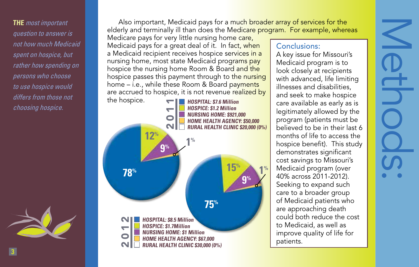**The** *most important question to answer is not how much Medicaid spent on hospice, but rather how spending on persons who choose to use hospice would differs from those not choosing hospice.*



Also important, Medicaid pays for a much broader array of services for the elderly and terminally ill than does the Medicare program. For example, whereas

Medicare pays for very little nursing home care, Medicaid pays for a great deal of it. In fact, when a Medicaid recipient receives hospice services in a nursing home, most state Medicaid programs pay hospice the nursing home Room & Board and the hospice passes this payment through to the nursing home – i.e., while these Room & Board payments are accrued to hospice, it is not revenue realized by



#### Conclusions:

A key issue for Missouri's Medicaid program is to look closely at recipients with advanced, life limiting illnesses and disabilities, and seek to make hospice care available as early as is legitimately allowed by the program (patients must be believed to be in their last 6 months of life to access the hospice benefit). This study demonstrates significant cost savings to Missouri's Medicaid program (over 40% across 2011-2012). Seeking to expand such care to a broader group of Medicaid patients who are approaching death could both reduce the cost to Medicaid, as well as improve quality of life for patients.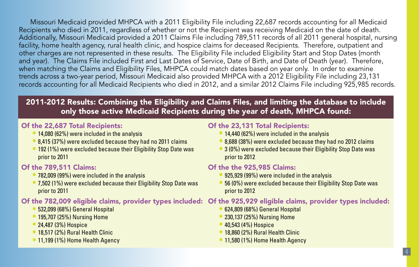Missouri Medicaid provided MHPCA with a 2011 Eligibility File including 22,687 records accounting for all Medicaid Recipients who died in 2011, regardless of whether or not the Recipient was receiving Medicaid on the date of death. Additionally, Missouri Medicaid provided a 2011 Claims File including 789,511 records of all 2011 general hospital, nursing facility, home health agency, rural health clinic, and hospice claims for deceased Recipients. Therefore, outpatient and other charges are not represented in these results. The Eligibility File included Eligibility Start and Stop Dates (month and year). The Claims File included First and Last Dates of Service, Date of Birth, and Date of Death (year). Therefore, when matching the Claims and Eligibility Files, MHPCA could match dates based on year only. In order to examine trends across a two-year period, Missouri Medicaid also provided MHPCA with a 2012 Eligibility File including 23,131 records accounting for all Medicaid Recipients who died in 2012, and a similar 2012 Claims File including 925,985 records.

# 2011-2012 Results: Combining the Eligibility and Claims Files, and limiting the database to include only those active Medicaid Recipients during the year of death, MHPCA found:

#### Of the 22,687 Total Recipients:

- 14,080 (62%) were included in the analysis
- 8,415 (37%) were excluded because they had no 2011 claims
- 192 (1%) were excluded because their Eligibility Stop Date was prior to 2011

#### Of the 789,511 Claims:

- 782,009 (99%) were included in the analysis
- 7,502 (1%) were excluded because their Eligibility Stop Date was prior to 2011

#### Of the 782,009 eligible claims, provider types included: Of the 925,929 eligible claims, provider types included:

- 532,099 (68%) General Hospital
- 195,707 (25%) Nursing Home
- 24,487 (3%) Hospice
- 18.517 (2%) Rural Health Clinic
- 11,199 (1%) Home Health Agency

#### Of the 23,131 Total Recipients:

- 14,440 (62%) were included in the analysis
- 8,688 (38%) were excluded because they had no 2012 claims
- 3 (0%) were excluded because their Eligibility Stop Date was prior to 2012

#### Of the the 925,985 Claims:

- 925,929 (99%) were included in the analysis
- 56 (0%) were excluded because their Eligibility Stop Date was prior to 2012

## • 624,809 (68%) General Hospital

- 230.137 (25%) Nursing Home
- 40,543 (4%) Hospice
- 18,860 (2%) Rural Health Clinic
- 11,580 (1%) Home Health Agency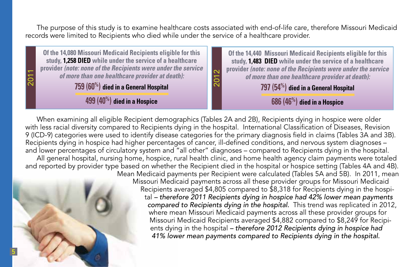The purpose of this study is to examine healthcare costs associated with end-of-life care, therefore Missouri Medicaid records were limited to Recipients who died while under the service of a healthcare provider.



When examining all eligible Recipient demographics (Tables 2A and 2B), Recipients dying in hospice were older with less racial diversity compared to Recipients dying in the hospital. International Classification of Diseases, Revision 9 (ICD-9) categories were used to identify disease categories for the primary diagnosis field in claims (Tables 3A and 3B). Recipients dying in hospice had higher percentages of cancer, ill-defined conditions, and nervous system diagnoses – and lower percentages of circulatory system and "all other" diagnoses – compared to Recipients dying in the hospital. All general hospital, nursing home, hospice, rural health clinic, and home health agency claim payments were totaled and reported by provider type based on whether the Recipient died in the hospital or hospice setting (Tables 4A and 4B). Mean Medicaid payments per Recipient were calculated (Tables 5A and 5B). In 2011, mean



Missouri Medicaid payments across all these provider groups for Missouri Medicaid Recipients averaged \$4,805 compared to \$8,318 for Recipients dying in the hospital *– therefore 2011 Recipients dying in hospice had 42% lower mean payments compared to Recipients dying in the hospital.* This trend was replicated in 2012, where mean Missouri Medicaid payments across all these provider groups for Missouri Medicaid Recipients averaged \$4,882 compared to \$8,249 for Recipients dying in the hospital *– therefore 2012 Recipients dying in hospice had 41% lower mean payments compared to Recipients dying in the hospital.*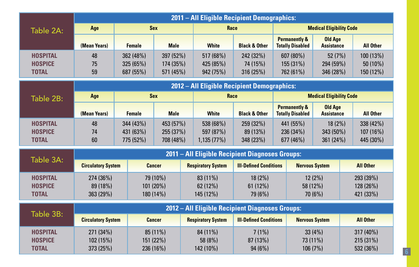|                                                   |                                     |                                     |                                     |  |                                      | 2011 - All Eligible Recipient Demographics:     |                                                     |                                                     |                                     |                                    |                                      |  |
|---------------------------------------------------|-------------------------------------|-------------------------------------|-------------------------------------|--|--------------------------------------|-------------------------------------------------|-----------------------------------------------------|-----------------------------------------------------|-------------------------------------|------------------------------------|--------------------------------------|--|
| Table 2A:                                         | Age                                 |                                     | <b>Sex</b>                          |  | Race                                 |                                                 |                                                     |                                                     | <b>Medical Eligibility Code</b>     |                                    |                                      |  |
|                                                   | (Mean Years)                        | <b>Female</b>                       | <b>Male</b>                         |  | <b>White</b>                         | <b>Black &amp; Other</b>                        |                                                     | <b>Permanently &amp;</b><br><b>Totally Disabled</b> | <b>Old Age</b><br><b>Assistance</b> |                                    | <b>All Other</b>                     |  |
| <b>HOSPITAL</b><br><b>HOSPICE</b><br><b>TOTAL</b> | 48<br>75<br>59                      | 362 (48%)<br>325 (65%)<br>687 (55%) | 397 (52%)<br>174 (35%)<br>571 (45%) |  | 517 (68%)<br>425 (85%)<br>942 (75%)  | 242 (32%)<br>74 (15%)<br>316 (25%)              | 607 (80%)<br>155 (31%)<br>762 (61%)                 |                                                     | 52(7%)<br>294 (59%)<br>346 (28%)    |                                    | 100 (13%)<br>$50(10\%)$<br>150 (12%) |  |
|                                                   |                                     | <b>Sex</b>                          |                                     |  |                                      | 2012 - All Eligible Recipient Demographics:     |                                                     |                                                     |                                     |                                    |                                      |  |
| Table 2B:                                         | Age                                 |                                     |                                     |  | Race                                 |                                                 |                                                     |                                                     | <b>Medical Eligibility Code</b>     |                                    |                                      |  |
|                                                   | (Mean Years)                        | <b>Female</b>                       | <b>Male</b>                         |  | <b>White</b>                         | <b>Black &amp; Other</b>                        | <b>Permanently &amp;</b><br><b>Totally Disabled</b> |                                                     | <b>Old Age</b><br><b>Assistance</b> |                                    | <b>All Other</b>                     |  |
| <b>HOSPITAL</b><br><b>HOSPICE</b><br><b>TOTAL</b> | 48<br>74<br>60                      | 344 (43%)<br>431 (63%)<br>775 (52%) | 453 (57%)<br>255 (37%)<br>708 (48%) |  | 538 (68%)<br>597 (87%)<br>1,135(77%) | 259 (32%)<br>89 (13%)<br>348 (23%)              |                                                     | 441 (55%)<br>236 (34%)<br>677 (46%)                 | $18(2\%)$<br>343 (50%)<br>361 (24%) |                                    | 338 (42%)<br>107 (16%)<br>445 (30%)  |  |
|                                                   |                                     |                                     |                                     |  |                                      | 2011 - All Eligible Recipient Diagnoses Groups: |                                                     |                                                     |                                     |                                    |                                      |  |
| Table 3A:                                         | <b>Circulatory System</b>           |                                     | <b>Cancer</b>                       |  | <b>Respiratory System</b>            | <b>III-Defined Conditions</b>                   |                                                     |                                                     | <b>Nervous System</b>               |                                    | <b>All Other</b>                     |  |
| <b>HOSPITAL</b><br><b>HOSPICE</b><br><b>TOTAL</b> | 274 (36%)<br>89 (18%)<br>363 (29%)  |                                     | 79 (10%)<br>101 (20%)<br>180 (14%)  |  | 83 (11%)<br>62(12%)<br>145 (12%)     | $18(2\%)$<br>61(12%)<br>79 (6%)                 |                                                     | 58 (12%)                                            | $12(2\%)$<br>70(6%)                 |                                    | 293 (39%)<br>128 (26%)<br>421 (33%)  |  |
| Table 3B:                                         |                                     |                                     |                                     |  |                                      | 2012 - All Eligible Recipient Diagnoses Groups: |                                                     |                                                     |                                     |                                    |                                      |  |
|                                                   | <b>Circulatory System</b>           |                                     | <b>Cancer</b>                       |  | <b>Respiratory System</b>            | <b>III-Defined Conditions</b>                   |                                                     |                                                     | <b>Nervous System</b>               |                                    | <b>All Other</b>                     |  |
| <b>HOSPITAL</b><br><b>HOSPICE</b><br><b>TOTAL</b> | 271 (34%)<br>102 (15%)<br>373 (25%) |                                     | 85 (11%)<br>151 (22%)<br>236 (16%)  |  | 84 (11%)<br>58 (8%)<br>142 (10%)     | $7(1\%)$<br>87 (13%)<br>94(6%)                  | 33(4%)<br>73 (11%)<br>106 (7%)                      |                                                     |                                     | 317 (40%)<br>215(31%)<br>532 (36%) |                                      |  |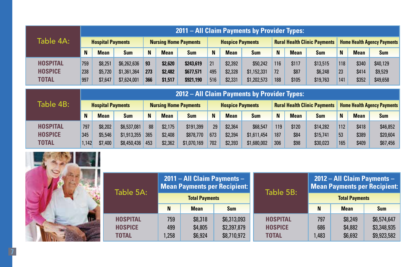|                 |     | 2011 – All Claim Payments by Provider Types: |             |                              |             |            |     |                         |             |     |             |                                     |                                    |             |            |  |
|-----------------|-----|----------------------------------------------|-------------|------------------------------|-------------|------------|-----|-------------------------|-------------|-----|-------------|-------------------------------------|------------------------------------|-------------|------------|--|
| Table 4A: I     |     | <b>Hospital Payments</b>                     |             | <b>Nursing Home Payments</b> |             |            |     | <b>Hospice Payments</b> |             |     |             | <b>Rural Health Clinic Payments</b> | <b>Home Health Agency Payments</b> |             |            |  |
|                 | N   | <b>Mean</b>                                  | <b>Sum</b>  | N                            | <b>Mean</b> | <b>Sum</b> | N   | <b>Mean</b>             | <b>Sum</b>  | N   | <b>Mean</b> | <b>Sum</b>                          | N                                  | <b>Mean</b> | <b>Sum</b> |  |
| <b>HOSPITAL</b> | 759 | \$8,251                                      | \$6,262,636 | 93                           | \$2,620     | \$243,619  | 21  | \$2,392                 | \$50.242    | 116 | \$117       | \$13.515                            | 118                                | \$340       | \$40,129   |  |
| <b>HOSPICE</b>  | 238 | \$5,720                                      | \$1,361,364 | 273                          | \$2,482     | \$677,571  | 495 | \$2,328                 | \$1,152,331 | 72  | \$87        | \$6,248                             | 23                                 | \$414       | \$9,529    |  |
| <b>TOTAL</b>    | 997 | \$7.647                                      | \$7,624,001 | 366                          | \$1,517     | \$921,190  | 516 | \$2,331                 | \$1,202,573 | 188 | \$105       | \$19,763                            | 141                                | \$352       | \$49,658   |  |

|                 |  |       | 2012 – All Claim Payments by Provider Types: |             |                              |             |             |                         |             |             |                                     |             |            |     |                                    |            |  |  |
|-----------------|--|-------|----------------------------------------------|-------------|------------------------------|-------------|-------------|-------------------------|-------------|-------------|-------------------------------------|-------------|------------|-----|------------------------------------|------------|--|--|
| Table 4B:       |  |       | <b>Hospital Payments</b>                     |             | <b>Nursing Home Payments</b> |             |             | <b>Hospice Payments</b> |             |             | <b>Rural Health Clinic Payments</b> |             |            |     | <b>Home Health Agency Payments</b> |            |  |  |
|                 |  | N     | <b>Mean</b>                                  | <b>Sum</b>  | N                            | <b>Mean</b> | <b>Sum</b>  | N                       | <b>Mean</b> | <b>Sum</b>  | N                                   | <b>Mean</b> | <b>Sum</b> |     | <b>Mean</b>                        | <b>Sum</b> |  |  |
| <b>HOSPITAL</b> |  | 797   | \$8,202                                      | \$6,537,081 | 88                           | \$2.175     | \$191,399   | 29                      | \$2,364     | \$68,547    | 119                                 | \$120       | \$14,282   | 112 | \$418                              | \$46.852   |  |  |
| <b>HOSPICE</b>  |  | 345   | \$5,546                                      | \$1,913,355 | 365                          | \$2,408     | \$878,770   | 673                     | \$2,394     | \$1,611,454 | 187                                 | \$84        | \$15,741   | 53  | \$389                              | \$20,604   |  |  |
| <b>TOTAL</b>    |  | 1.142 | \$7,400                                      | \$8,450,436 | 453                          | \$2,362     | \$1,070,169 | 702                     | \$2,393     | \$1,680,002 | 306                                 | \$98        | \$30,023   | 165 | \$409                              | \$67,456   |  |  |



| Table 5A:       |       |                       | 2011 - All Claim Payments -<br><b>Mean Payments per Recipient:</b> | Table 5B:       | $2012 - All Claim Payments - 1$<br><b>Mean Payments per Recipient:</b> |                       |             |  |  |  |
|-----------------|-------|-----------------------|--------------------------------------------------------------------|-----------------|------------------------------------------------------------------------|-----------------------|-------------|--|--|--|
|                 |       | <b>Total Payments</b> |                                                                    |                 |                                                                        | <b>Total Payments</b> |             |  |  |  |
|                 | N     | <b>Mean</b>           | <b>Sum</b>                                                         |                 | N                                                                      | <b>Mean</b>           | <b>Sum</b>  |  |  |  |
| <b>HOSPITAL</b> | 759   | \$8,318               | \$6,313,093                                                        | <b>HOSPITAL</b> | 797                                                                    | \$8,249               | \$6,574,647 |  |  |  |
| <b>HOSPICE</b>  | 499   | \$4,805               | \$2,397,879                                                        | <b>HOSPICE</b>  | 686                                                                    | \$4,882               | \$3,348,935 |  |  |  |
| <b>TOTAL</b>    | 1.258 | \$6,924               | \$8,710,972                                                        | <b>TOTAL</b>    | 1,483                                                                  | \$6,692               | \$9,923,582 |  |  |  |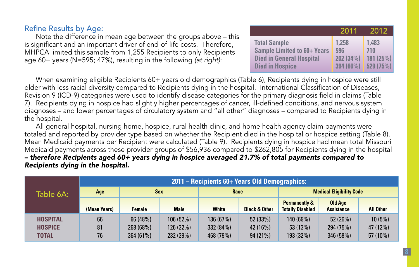#### Refine Results by Age:

Note the difference in mean age between the groups above – this is significant and an important driver of end-of-life costs. Therefore, MHPCA limited this sample from 1,255 Recipients to only Recipients age 60+ years (N=595; 47%), resulting in the following *(at right)*:

|                                    | 2011      | 2012     |
|------------------------------------|-----------|----------|
| <b>Total Sample</b>                | 1.258     | 1.483    |
| <b>Sample Limited to 60+ Years</b> | 596       | 710      |
| <b>Died in General Hospital</b>    | 202 (34%) | 181(25%) |
| <b>Died in Hospice</b>             | 394 (66%) | 529(75%) |

When examining eligible Recipients 60+ years old demographics (Table 6), Recipients dying in hospice were still older with less racial diversity compared to Recipients dying in the hospital. International Classification of Diseases, Revision 9 (ICD-9) categories were used to identify disease categories for the primary diagnosis field in claims (Table 7). Recipients dying in hospice had slightly higher percentages of cancer, ill-defined conditions, and nervous system diagnoses – and lower percentages of circulatory system and "all other" diagnoses – compared to Recipients dying in the hospital.

All general hospital, nursing home, hospice, rural health clinic, and home health agency claim payments were totaled and reported by provider type based on whether the Recipient died in the hospital or hospice setting (Table 8). Mean Medicaid payments per Recipient were calculated (Table 9). Recipients dying in hospice had mean total Missouri Medicaid payments across these provider groups of \$56,936 compared to \$262,805 for Recipients dying in the hospital *– therefore Recipients aged 60+ years dying in hospice averaged 21.7% of total payments compared to Recipients dying in the hospital.*

|                                                   | 2011 – Recipients 60+ Years Old Demographics: |                                     |                                    |                                     |                                |                                                     |                                  |                                  |  |  |  |  |  |
|---------------------------------------------------|-----------------------------------------------|-------------------------------------|------------------------------------|-------------------------------------|--------------------------------|-----------------------------------------------------|----------------------------------|----------------------------------|--|--|--|--|--|
| Table 6A:                                         | Age                                           | <b>Sex</b>                          |                                    | Race                                |                                | <b>Medical Eligibility Code</b>                     |                                  |                                  |  |  |  |  |  |
|                                                   | (Mean Years)                                  | <b>Female</b>                       | <b>Male</b>                        | <b>White</b>                        | <b>Black &amp; Other</b>       | <b>Permanently &amp;</b><br><b>Totally Disabled</b> | Old Age<br><b>Assistance</b>     | <b>All Other</b>                 |  |  |  |  |  |
| <b>HOSPITAL</b><br><b>HOSPICE</b><br><b>TOTAL</b> | 66<br>81<br>76                                | 96(48%)<br>268 (68%)<br>$364(61\%)$ | 106(52%)<br>126 (32%)<br>232 (39%) | 136 (67%)<br>332 (84%)<br>468 (79%) | 52(33%)<br>42 (16%)<br>94(21%) | 140 (69%)<br>53(13%)<br>193 (32%)                   | 52(26%)<br>294 (75%)<br>346(58%) | 10(5%)<br>47 (12%)<br>$57(10\%)$ |  |  |  |  |  |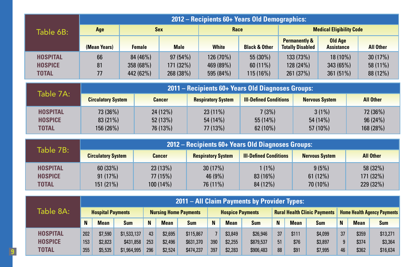|                                                   | 2012 – Recipients 60+ Years Old Demographics: |                                    |                                   |                                     |                                      |                                                     |                                       |                                   |  |  |  |  |  |  |
|---------------------------------------------------|-----------------------------------------------|------------------------------------|-----------------------------------|-------------------------------------|--------------------------------------|-----------------------------------------------------|---------------------------------------|-----------------------------------|--|--|--|--|--|--|
| Table 6B:                                         | Age                                           | <b>Sex</b>                         |                                   | Race                                |                                      | <b>Medical Eligibility Code</b>                     |                                       |                                   |  |  |  |  |  |  |
|                                                   | (Mean Years)                                  | <b>Female</b>                      | <b>Male</b>                       | <b>White</b>                        | <b>Black &amp; Other</b>             | <b>Permanently &amp;</b><br><b>Totally Disabled</b> | Old Age<br><b>Assistance</b>          | <b>All Other</b>                  |  |  |  |  |  |  |
| <b>HOSPITAL</b><br><b>HOSPICE</b><br><b>TOTAL</b> | 66<br>81<br>77                                | 84 (46%)<br>358 (68%)<br>442 (62%) | 97(54%)<br>171 (32%)<br>268 (38%) | 126 (70%)<br>469 (89%)<br>595 (84%) | 55(30%)<br>$60(11\%)$<br>$115(16\%)$ | 133 (73%)<br>128 (24%)<br>261 (37%)                 | $18(10\%)$<br>343(65%)<br>$361(51\%)$ | 30(17%)<br>$58(11\%)$<br>88 (12%) |  |  |  |  |  |  |

| Table 7A:                                  |                                  | 2011 – Recipients 60+ Years Old Diagnoses Groups: |                                   |                                |                                      |                                  |  |  |  |  |  |  |  |  |
|--------------------------------------------|----------------------------------|---------------------------------------------------|-----------------------------------|--------------------------------|--------------------------------------|----------------------------------|--|--|--|--|--|--|--|--|
|                                            | <b>Circulatory System</b>        | <b>Cancer</b>                                     | <b>Respiratory System</b>         | <b>III-Defined Conditions</b>  | <b>Nervous System</b>                | <b>All Other</b>                 |  |  |  |  |  |  |  |  |
| <b>HOSPITAL</b><br><b>HOSPICE</b><br>TOTAL | 73 (36%)<br>83(21%)<br>156 (26%) | $24(12\%)$<br>52(13%)<br>76 (13%)                 | $23(11\%)$<br>54(14%)<br>77 (13%) | 7(3%)<br>55(14%)<br>$62(10\%)$ | $3(1\%)$<br>$54(14\%)$<br>$57(10\%)$ | 72 (36%)<br>96(24%)<br>168 (28%) |  |  |  |  |  |  |  |  |

| Table 7B:                                  |                                 | 2012 – Recipients 60+ Years Old Diagnoses Groups: |                                |                                 |                              |                                   |  |  |  |  |  |  |  |  |
|--------------------------------------------|---------------------------------|---------------------------------------------------|--------------------------------|---------------------------------|------------------------------|-----------------------------------|--|--|--|--|--|--|--|--|
|                                            | <b>Circulatory System</b>       | <b>Cancer</b>                                     | <b>Respiratory System</b>      | <b>III-Defined Conditions</b>   | <b>Nervous System</b>        | <b>All Other</b>                  |  |  |  |  |  |  |  |  |
| <b>HOSPITAL</b><br><b>HOSPICE</b><br>TOTAL | 60(33%)<br>91(17%)<br>151 (21%) | 23(13%)<br>77(15%)<br>$100(14\%)$                 | 30(17%)<br>46 (9%)<br>76 (11%) | $1(1\%)$<br>83(16%)<br>84 (12%) | 9(5%)<br>61(12%)<br>70 (10%) | 58 (32%)<br>171(32%)<br>229 (32%) |  |  |  |  |  |  |  |  |

|                 |     |                          |             |     |             |                              |     |                         | 2011 – All Claim Payments by Provider Types: |    |             |                                     |    |             |                                    |
|-----------------|-----|--------------------------|-------------|-----|-------------|------------------------------|-----|-------------------------|----------------------------------------------|----|-------------|-------------------------------------|----|-------------|------------------------------------|
| Table 8A: I     |     | <b>Hospital Payments</b> |             |     |             | <b>Nursing Home Payments</b> |     | <b>Hospice Payments</b> |                                              |    |             | <b>Rural Health Clinic Payments</b> |    |             | <b>Home Health Agency Payments</b> |
|                 | N   | <b>Mean</b>              | <b>Sum</b>  | N   | <b>Mean</b> | <b>Sum</b>                   | N   | Mean                    | <b>Sum</b>                                   | N  | <b>Mean</b> | <b>Sum</b>                          | N  | <b>Mean</b> | <b>Sum</b>                         |
| <b>HOSPITAL</b> | 202 | \$7,590                  | \$1,533,137 | 43  | \$2.695     | \$115,867                    |     | \$3,849                 | \$26,946                                     | 37 | \$111       | \$4,099                             | 37 | \$359       | \$13.271                           |
| <b>HOSPICE</b>  | 153 | \$2,823                  | \$431,858   | 253 | \$2,496     | \$631,370                    | 390 | \$2,255                 | \$879,537                                    | 51 | \$76        | \$3.897                             | 9  | \$374       | \$3,364                            |
| TOTAL           | 355 | \$5,535                  | \$1,964,995 | 296 | \$2,524     | \$474,237                    | 397 | \$2,283                 | \$906,483                                    | 88 | \$91        | \$7,995                             | 46 | \$362       | \$16,634                           |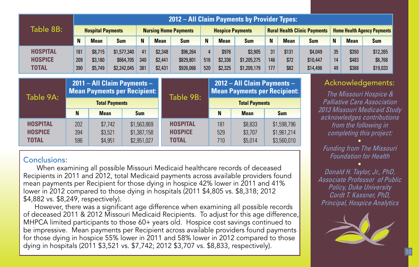|                 |     | 2012 - All Claim Payments by Provider Types: |                             |     |             |                              |     |                         |                             |     |             |                                     |                                    |             |                         |  |
|-----------------|-----|----------------------------------------------|-----------------------------|-----|-------------|------------------------------|-----|-------------------------|-----------------------------|-----|-------------|-------------------------------------|------------------------------------|-------------|-------------------------|--|
| Table 8B:       |     | <b>Hospital Payments</b>                     |                             |     |             | <b>Nursing Home Payments</b> |     | <b>Hospice Payments</b> |                             |     |             | <b>Rural Health Clinic Payments</b> | <b>Home Health Agency Payments</b> |             |                         |  |
|                 | N   | <b>Mean</b>                                  | <b>Sum</b>                  | N   | <b>Mean</b> | <b>Sum</b>                   | N   | <b>Mean</b>             | <b>Sum</b>                  | N   | <b>Mean</b> | <b>Sum</b>                          | N                                  | <b>Mean</b> | <b>Sum</b>              |  |
| <b>HOSPITAL</b> | 181 | \$8,715                                      | \$1,577,340                 | 41  | \$2,348     | \$96,264                     |     | \$976                   | \$3,905                     | 31  | \$131       | \$4,049                             | 35                                 | \$350       | \$12,265                |  |
| <b>HOSPICE</b>  | 209 | \$3,180                                      | \$664,705                   | 340 | \$2,441     | \$829,801                    | 516 | \$2,336                 | \$1,205,275                 | 146 | \$72        | \$10,447                            | 14                                 | \$483       | \$6,768                 |  |
| <b>TOTAL</b>    | 390 | \$5,749                                      | \$2,242,045                 | 381 | \$2,431     | \$926,066                    | 520 | \$2,325                 | \$1,209,179                 | 177 | \$82        | \$14,496                            | 49                                 | \$388       | \$19,033                |  |
|                 |     |                                              |                             |     |             |                              |     |                         |                             |     |             |                                     |                                    |             |                         |  |
|                 |     |                                              | 2011 - All Claim Payments - |     |             |                              |     |                         | 2012 - All Claim Payments - |     |             |                                     |                                    |             | <b>Acknowledgements</b> |  |

| Table 9A:       | <b>Mean Payments per Recipient:</b> |             |             | Table 9B:       | <b>Mean Payments per Recipient:</b> |             |             |
|-----------------|-------------------------------------|-------------|-------------|-----------------|-------------------------------------|-------------|-------------|
|                 | <b>Total Payments</b>               |             |             |                 | <b>Total Payments</b>               |             |             |
|                 | N                                   | <b>Mean</b> | <b>Sum</b>  |                 | N                                   | <b>Mean</b> | <b>Sum</b>  |
| <b>HOSPITAL</b> | 202                                 | \$7.742     | \$1,563,869 | <b>HOSPITAL</b> | 181                                 | \$8,833     | \$1,598,796 |
| <b>HOSPICE</b>  | 394                                 | \$3.521     | \$1,387,158 | <b>HOSPICE</b>  | 529                                 | \$3.707     | \$1,961,214 |
| <b>TOTAL</b>    | 596                                 | \$4,951     | \$2,951,027 | <b>TOTAL</b>    | 710                                 | \$5,014     | \$3,560,010 |

## Conclusions:

 When examining all possible Missouri Medicaid healthcare records of deceased Recipients in 2011 and 2012, total Medicaid payments across available providers found mean payments per Recipient for those dying in hospice 42% lower in 2011 and 41% lower in 2012 compared to those dying in hospitals (2011 \$4,805 vs. \$8,318; 2012 \$4,882 vs. \$8,249, respectively).

However, there was a significant age difference when examining all possible records of deceased 2011 & 2012 Missouri Medicaid Recipients. To adjust for this age difference, MHPCA limited participants to those 60+ years old. Hospice cost savings continued to be impressive. Mean payments per Recipient across available providers found payments for those dying in hospice 55% lower in 2011 and 58% lower in 2012 compared to those dying in hospitals (2011 \$3,521 vs. \$7,742; 2012 \$3,707 vs. \$8,833, respectively).

# Acknowledgements:

*The Missouri Hospice & Palliative Care Association 2013 Missouri Medicaid Study acknowledges contributions from the following in completing this project:*

 $\bullet$ *Funding from The Missouri Foundation for Health*  $\bullet$ 

*Donald H. Taylor, Jr., PhD, Associate Professor of Public Policy, Duke University Cordt T. Kassner, PhD, Principal, Hospice Analytics*